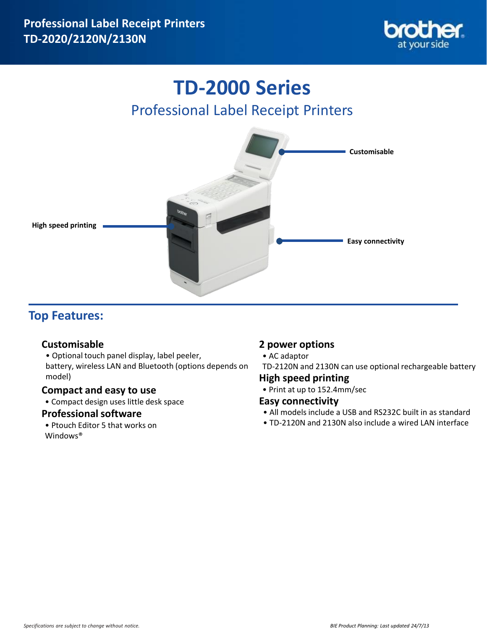

# **TD-2000 Series** Professional Label Receipt Printers



# **Top Features:**

## **Customisable**

• Optional touch panel display, label peeler, battery, wireless LAN and Bluetooth (options depends on model)

### **Compact and easy to use**

• Compact design uses little desk space

### **Professional software**

• Ptouch Editor 5 that works on Windows®

# **2 power options**

- AC adaptor
- TD-2120N and 2130N can use optional rechargeable battery

### **High speed printing**

• Print at up to 152.4mm/sec

# **Easy connectivity**

- All models include a USB and RS232C built in as standard
- TD-2120N and 2130N also include a wired LAN interface